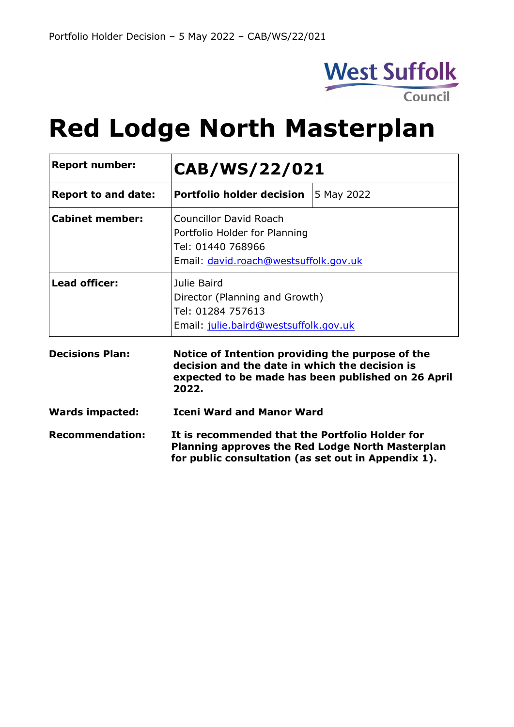

# **Red Lodge North Masterplan**

| <b>Report number:</b>      | CAB/WS/22/021                                                                                                                                                     |            |
|----------------------------|-------------------------------------------------------------------------------------------------------------------------------------------------------------------|------------|
| <b>Report to and date:</b> | <b>Portfolio holder decision</b>                                                                                                                                  | 5 May 2022 |
| <b>Cabinet member:</b>     | <b>Councillor David Roach</b><br>Portfolio Holder for Planning<br>Tel: 01440 768966<br>Email: david.roach@westsuffolk.gov.uk                                      |            |
| <b>Lead officer:</b>       | Julie Baird<br>Director (Planning and Growth)<br>Tel: 01284 757613<br>Email: julie.baird@westsuffolk.gov.uk                                                       |            |
| <b>Decisions Plan:</b>     | Notice of Intention providing the purpose of the<br>decision and the date in which the decision is<br>expected to be made has been published on 26 April<br>2022. |            |
| <b>Wards impacted:</b>     | <b>Iceni Ward and Manor Ward</b>                                                                                                                                  |            |
| <b>Recommendation:</b>     | It is recommended that the Portfolio Holder for<br><b>Planning approves the Red Lodge North Masterplan</b><br>for public consultation (as set out in Appendix 1). |            |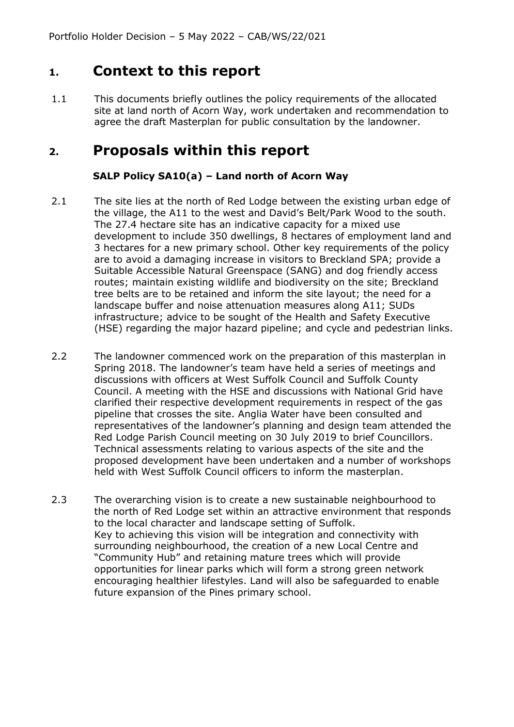#### **1. Context to this report**

1.1 This documents briefly outlines the policy requirements of the allocated site at land north of Acorn Way, work undertaken and recommendation to agree the draft Masterplan for public consultation by the landowner.

#### **2. Proposals within this report**

#### **SALP Policy SA10(a) – Land north of Acorn Way**

- 2.1 The site lies at the north of Red Lodge between the existing urban edge of the village, the A11 to the west and David's Belt/Park Wood to the south. The 27.4 hectare site has an indicative capacity for a mixed use development to include 350 dwellings, 8 hectares of employment land and 3 hectares for a new primary school. Other key requirements of the policy are to avoid a damaging increase in visitors to Breckland SPA; provide a Suitable Accessible Natural Greenspace (SANG) and dog friendly access routes; maintain existing wildlife and biodiversity on the site; Breckland tree belts are to be retained and inform the site layout; the need for a landscape buffer and noise attenuation measures along A11; SUDs infrastructure; advice to be sought of the Health and Safety Executive (HSE) regarding the major hazard pipeline; and cycle and pedestrian links.
- 2.2 The landowner commenced work on the preparation of this masterplan in Spring 2018. The landowner's team have held a series of meetings and discussions with officers at West Suffolk Council and Suffolk County Council. A meeting with the HSE and discussions with National Grid have clarified their respective development requirements in respect of the gas pipeline that crosses the site. Anglia Water have been consulted and representatives of the landowner's planning and design team attended the Red Lodge Parish Council meeting on 30 July 2019 to brief Councillors. Technical assessments relating to various aspects of the site and the proposed development have been undertaken and a number of workshops held with West Suffolk Council officers to inform the masterplan.
- 2.3 The overarching vision is to create a new sustainable neighbourhood to the north of Red Lodge set within an attractive environment that responds to the local character and landscape setting of Suffolk. Key to achieving this vision will be integration and connectivity with surrounding neighbourhood, the creation of a new Local Centre and "Community Hub" and retaining mature trees which will provide opportunities for linear parks which will form a strong green network encouraging healthier lifestyles. Land will also be safeguarded to enable future expansion of the Pines primary school.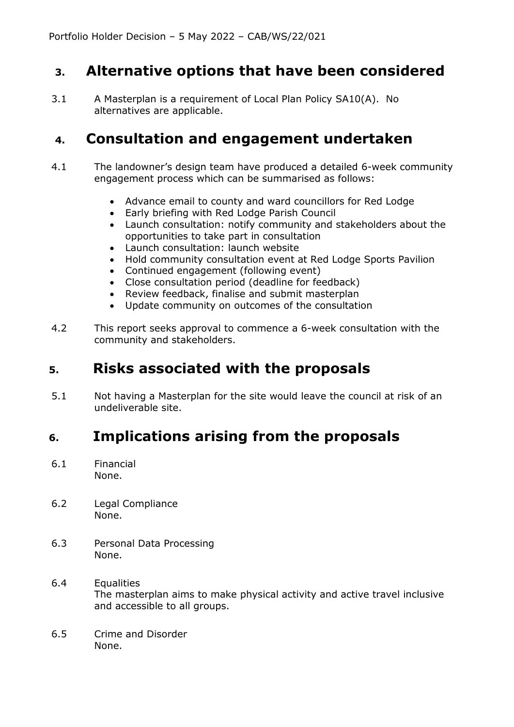#### **3. Alternative options that have been considered**

3.1 A Masterplan is a requirement of Local Plan Policy SA10(A). No alternatives are applicable.

#### **4. Consultation and engagement undertaken**

- 4.1 The landowner's design team have produced a detailed 6-week community engagement process which can be summarised as follows:
	- Advance email to county and ward councillors for Red Lodge
	- Early briefing with Red Lodge Parish Council
	- Launch consultation: notify community and stakeholders about the opportunities to take part in consultation
	- Launch consultation: launch website
	- Hold community consultation event at Red Lodge Sports Pavilion
	- Continued engagement (following event)
	- Close consultation period (deadline for feedback)
	- Review feedback, finalise and submit masterplan
	- Update community on outcomes of the consultation
- 4.2 This report seeks approval to commence a 6-week consultation with the community and stakeholders.

### **5. Risks associated with the proposals**

5.1 Not having a Masterplan for the site would leave the council at risk of an undeliverable site.

# **6. Implications arising from the proposals**

- 6.1 Financial None.
- 6.2 Legal Compliance None.
- 6.3 Personal Data Processing None.
- 6.4 Equalities The masterplan aims to make physical activity and active travel inclusive and accessible to all groups.
- 6.5 Crime and Disorder None.